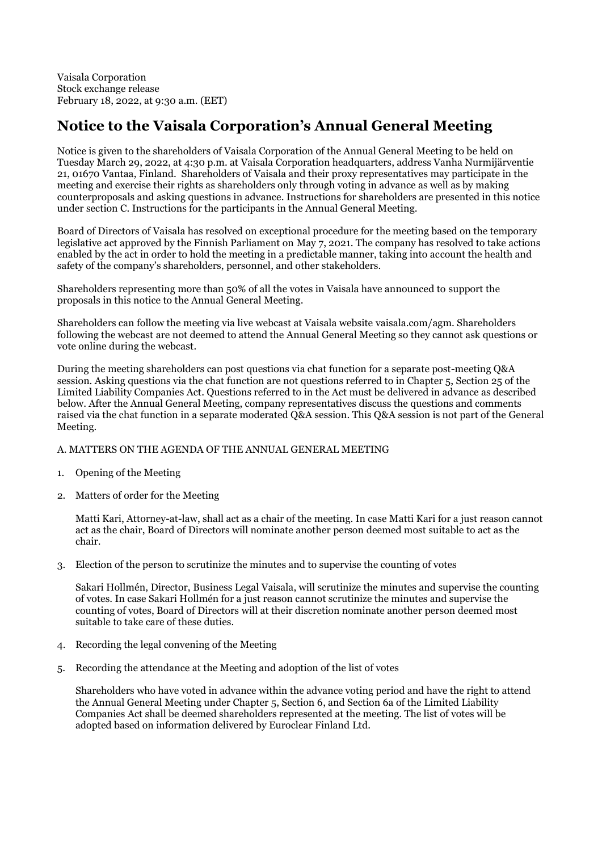Vaisala Corporation Stock exchange release February 18, 2022, at 9:30 a.m. (EET)

# **Notice to the Vaisala Corporation's Annual General Meeting**

Notice is given to the shareholders of Vaisala Corporation of the Annual General Meeting to be held on Tuesday March 29, 2022, at 4:30 p.m. at Vaisala Corporation headquarters, address Vanha Nurmijärventie 21, 01670 Vantaa, Finland. Shareholders of Vaisala and their proxy representatives may participate in the meeting and exercise their rights as shareholders only through voting in advance as well as by making counterproposals and asking questions in advance. Instructions for shareholders are presented in this notice under section C. Instructions for the participants in the Annual General Meeting.

Board of Directors of Vaisala has resolved on exceptional procedure for the meeting based on the temporary legislative act approved by the Finnish Parliament on May 7, 2021. The company has resolved to take actions enabled by the act in order to hold the meeting in a predictable manner, taking into account the health and safety of the company's shareholders, personnel, and other stakeholders.

Shareholders representing more than 50% of all the votes in Vaisala have announced to support the proposals in this notice to the Annual General Meeting.

Shareholders can follow the meeting via live webcast at Vaisala website vaisala.com/agm. Shareholders following the webcast are not deemed to attend the Annual General Meeting so they cannot ask questions or vote online during the webcast.

During the meeting shareholders can post questions via chat function for a separate post-meeting Q&A session. Asking questions via the chat function are not questions referred to in Chapter 5, Section 25 of the Limited Liability Companies Act. Questions referred to in the Act must be delivered in advance as described below. After the Annual General Meeting, company representatives discuss the questions and comments raised via the chat function in a separate moderated Q&A session. This Q&A session is not part of the General Meeting.

# A. MATTERS ON THE AGENDA OF THE ANNUAL GENERAL MEETING

- 1. Opening of the Meeting
- 2. Matters of order for the Meeting

Matti Kari, Attorney-at-law, shall act as a chair of the meeting. In case Matti Kari for a just reason cannot act as the chair, Board of Directors will nominate another person deemed most suitable to act as the chair.

3. Election of the person to scrutinize the minutes and to supervise the counting of votes

Sakari Hollmén, Director, Business Legal Vaisala, will scrutinize the minutes and supervise the counting of votes. In case Sakari Hollmén for a just reason cannot scrutinize the minutes and supervise the counting of votes, Board of Directors will at their discretion nominate another person deemed most suitable to take care of these duties.

- 4. Recording the legal convening of the Meeting
- 5. Recording the attendance at the Meeting and adoption of the list of votes

Shareholders who have voted in advance within the advance voting period and have the right to attend the Annual General Meeting under Chapter 5, Section 6, and Section 6a of the Limited Liability Companies Act shall be deemed shareholders represented at the meeting. The list of votes will be adopted based on information delivered by Euroclear Finland Ltd.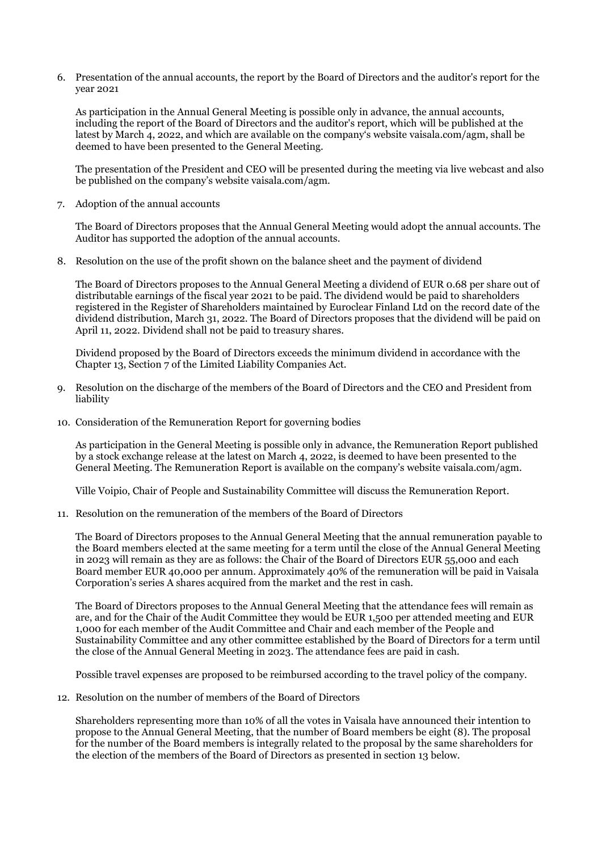6. Presentation of the annual accounts, the report by the Board of Directors and the auditor's report for the year 2021

As participation in the Annual General Meeting is possible only in advance, the annual accounts, including the report of the Board of Directors and the auditor's report, which will be published at the latest by March 4, 2022, and which are available on the company's website vaisala.com/agm, shall be deemed to have been presented to the General Meeting.

The presentation of the President and CEO will be presented during the meeting via live webcast and also be published on the company's website vaisala.com/agm.

7. Adoption of the annual accounts

The Board of Directors proposes that the Annual General Meeting would adopt the annual accounts. The Auditor has supported the adoption of the annual accounts.

8. Resolution on the use of the profit shown on the balance sheet and the payment of dividend

The Board of Directors proposes to the Annual General Meeting a dividend of EUR 0.68 per share out of distributable earnings of the fiscal year 2021 to be paid. The dividend would be paid to shareholders registered in the Register of Shareholders maintained by Euroclear Finland Ltd on the record date of the dividend distribution, March 31, 2022. The Board of Directors proposes that the dividend will be paid on April 11, 2022. Dividend shall not be paid to treasury shares.

Dividend proposed by the Board of Directors exceeds the minimum dividend in accordance with the Chapter 13, Section 7 of the Limited Liability Companies Act.

- 9. Resolution on the discharge of the members of the Board of Directors and the CEO and President from liability
- 10. Consideration of the Remuneration Report for governing bodies

As participation in the General Meeting is possible only in advance, the Remuneration Report published by a stock exchange release at the latest on March 4, 2022, is deemed to have been presented to the General Meeting. The Remuneration Report is available on the company's website vaisala.com/agm.

Ville Voipio, Chair of People and Sustainability Committee will discuss the Remuneration Report.

11. Resolution on the remuneration of the members of the Board of Directors

The Board of Directors proposes to the Annual General Meeting that the annual remuneration payable to the Board members elected at the same meeting for a term until the close of the Annual General Meeting in 2023 will remain as they are as follows: the Chair of the Board of Directors EUR 55,000 and each Board member EUR 40,000 per annum. Approximately 40% of the remuneration will be paid in Vaisala Corporation's series A shares acquired from the market and the rest in cash.

The Board of Directors proposes to the Annual General Meeting that the attendance fees will remain as are, and for the Chair of the Audit Committee they would be EUR 1,500 per attended meeting and EUR 1,000 for each member of the Audit Committee and Chair and each member of the People and Sustainability Committee and any other committee established by the Board of Directors for a term until the close of the Annual General Meeting in 2023. The attendance fees are paid in cash.

Possible travel expenses are proposed to be reimbursed according to the travel policy of the company.

12. Resolution on the number of members of the Board of Directors

Shareholders representing more than 10% of all the votes in Vaisala have announced their intention to propose to the Annual General Meeting, that the number of Board members be eight (8). The proposal for the number of the Board members is integrally related to the proposal by the same shareholders for the election of the members of the Board of Directors as presented in section 13 below.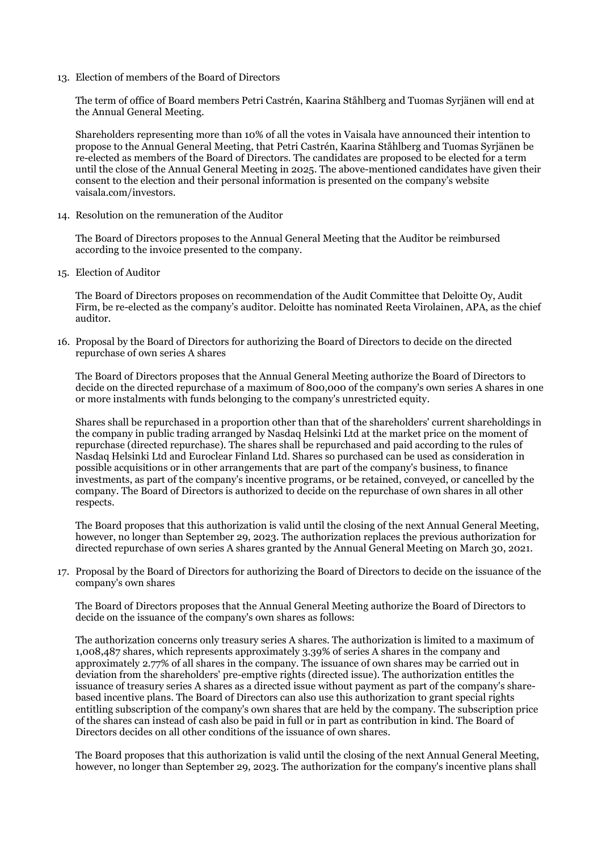13. Election of members of the Board of Directors

The term of office of Board members Petri Castrén, Kaarina Ståhlberg and Tuomas Syrjänen will end at the Annual General Meeting.

Shareholders representing more than 10% of all the votes in Vaisala have announced their intention to propose to the Annual General Meeting, that Petri Castrén, Kaarina Ståhlberg and Tuomas Syrjänen be re-elected as members of the Board of Directors. The candidates are proposed to be elected for a term until the close of the Annual General Meeting in 2025. The above-mentioned candidates have given their consent to the election and their personal information is presented on the company's website vaisala.com/investors.

14. Resolution on the remuneration of the Auditor

The Board of Directors proposes to the Annual General Meeting that the Auditor be reimbursed according to the invoice presented to the company.

15. Election of Auditor

The Board of Directors proposes on recommendation of the Audit Committee that Deloitte Oy, Audit Firm, be re-elected as the company's auditor. Deloitte has nominated Reeta Virolainen, APA, as the chief auditor.

16. Proposal by the Board of Directors for authorizing the Board of Directors to decide on the directed repurchase of own series A shares

The Board of Directors proposes that the Annual General Meeting authorize the Board of Directors to decide on the directed repurchase of a maximum of 800,000 of the company's own series A shares in one or more instalments with funds belonging to the company's unrestricted equity.

Shares shall be repurchased in a proportion other than that of the shareholders' current shareholdings in the company in public trading arranged by Nasdaq Helsinki Ltd at the market price on the moment of repurchase (directed repurchase). The shares shall be repurchased and paid according to the rules of Nasdaq Helsinki Ltd and Euroclear Finland Ltd. Shares so purchased can be used as consideration in possible acquisitions or in other arrangements that are part of the company's business, to finance investments, as part of the company's incentive programs, or be retained, conveyed, or cancelled by the company. The Board of Directors is authorized to decide on the repurchase of own shares in all other respects.

The Board proposes that this authorization is valid until the closing of the next Annual General Meeting, however, no longer than September 29, 2023. The authorization replaces the previous authorization for directed repurchase of own series A shares granted by the Annual General Meeting on March 30, 2021.

17. Proposal by the Board of Directors for authorizing the Board of Directors to decide on the issuance of the company's own shares

The Board of Directors proposes that the Annual General Meeting authorize the Board of Directors to decide on the issuance of the company's own shares as follows:

The authorization concerns only treasury series A shares. The authorization is limited to a maximum of 1,008,487 shares, which represents approximately 3.39% of series A shares in the company and approximately 2.77% of all shares in the company. The issuance of own shares may be carried out in deviation from the shareholders' pre-emptive rights (directed issue). The authorization entitles the issuance of treasury series A shares as a directed issue without payment as part of the company's sharebased incentive plans. The Board of Directors can also use this authorization to grant special rights entitling subscription of the company's own shares that are held by the company. The subscription price of the shares can instead of cash also be paid in full or in part as contribution in kind. The Board of Directors decides on all other conditions of the issuance of own shares.

The Board proposes that this authorization is valid until the closing of the next Annual General Meeting, however, no longer than September 29, 2023. The authorization for the company's incentive plans shall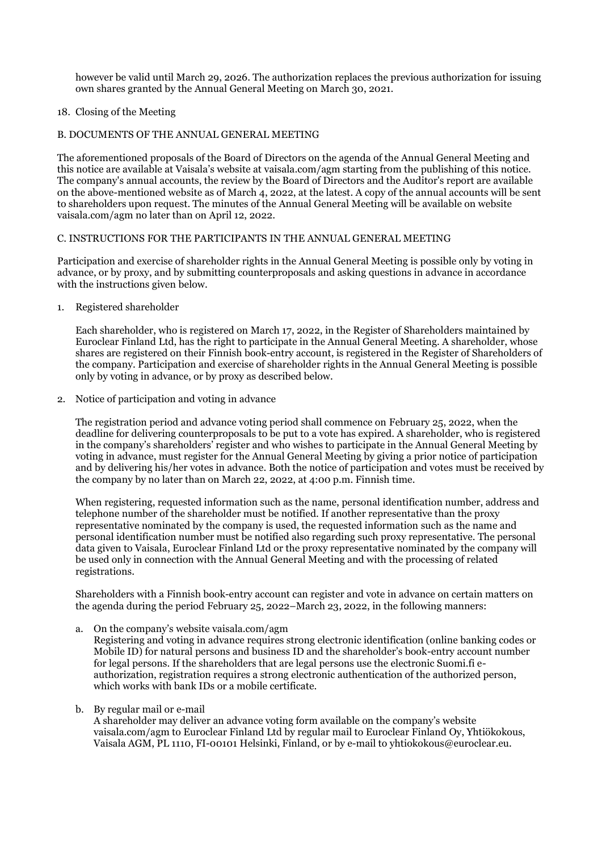however be valid until March 29, 2026. The authorization replaces the previous authorization for issuing own shares granted by the Annual General Meeting on March 30, 2021.

## 18. Closing of the Meeting

## B. DOCUMENTS OF THE ANNUAL GENERAL MEETING

The aforementioned proposals of the Board of Directors on the agenda of the Annual General Meeting and this notice are available at Vaisala's website at vaisala.com/agm starting from the publishing of this notice. The company's annual accounts, the review by the Board of Directors and the Auditor's report are available on the above-mentioned website as of March 4, 2022, at the latest. A copy of the annual accounts will be sent to shareholders upon request. The minutes of the Annual General Meeting will be available on website vaisala.com/agm no later than on April 12, 2022.

## C. INSTRUCTIONS FOR THE PARTICIPANTS IN THE ANNUAL GENERAL MEETING

Participation and exercise of shareholder rights in the Annual General Meeting is possible only by voting in advance, or by proxy, and by submitting counterproposals and asking questions in advance in accordance with the instructions given below.

1. Registered shareholder

Each shareholder, who is registered on March 17, 2022, in the Register of Shareholders maintained by Euroclear Finland Ltd, has the right to participate in the Annual General Meeting. A shareholder, whose shares are registered on their Finnish book-entry account, is registered in the Register of Shareholders of the company. Participation and exercise of shareholder rights in the Annual General Meeting is possible only by voting in advance, or by proxy as described below.

2. Notice of participation and voting in advance

The registration period and advance voting period shall commence on February 25, 2022, when the deadline for delivering counterproposals to be put to a vote has expired. A shareholder, who is registered in the company's shareholders' register and who wishes to participate in the Annual General Meeting by voting in advance, must register for the Annual General Meeting by giving a prior notice of participation and by delivering his/her votes in advance. Both the notice of participation and votes must be received by the company by no later than on March 22, 2022, at 4:00 p.m. Finnish time.

When registering, requested information such as the name, personal identification number, address and telephone number of the shareholder must be notified. If another representative than the proxy representative nominated by the company is used, the requested information such as the name and personal identification number must be notified also regarding such proxy representative. The personal data given to Vaisala, Euroclear Finland Ltd or the proxy representative nominated by the company will be used only in connection with the Annual General Meeting and with the processing of related registrations.

Shareholders with a Finnish book-entry account can register and vote in advance on certain matters on the agenda during the period February 25, 2022–March 23, 2022, in the following manners:

a. On the company's website vaisala.com/agm

Registering and voting in advance requires strong electronic identification (online banking codes or Mobile ID) for natural persons and business ID and the shareholder's book-entry account number for legal persons. If the shareholders that are legal persons use the electronic Suomi.fi eauthorization, registration requires a strong electronic authentication of the authorized person, which works with bank IDs or a mobile certificate.

b. By regular mail or e-mail

A shareholder may deliver an advance voting form available on the company's website vaisala.com/agm to Euroclear Finland Ltd by regular mail to Euroclear Finland Oy, Yhtiökokous, Vaisala AGM, PL 1110, FI-00101 Helsinki, Finland, or by e-mail to yhtiokokous@euroclear.eu.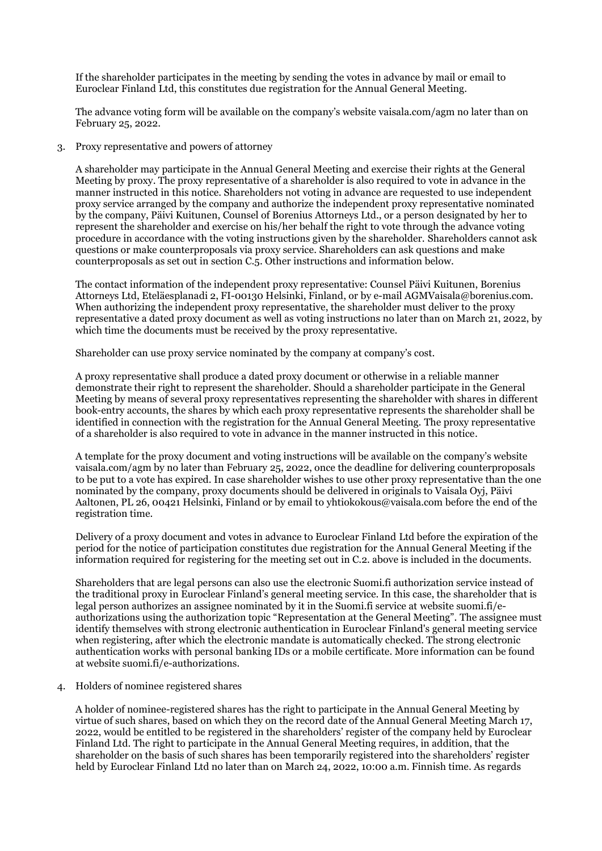If the shareholder participates in the meeting by sending the votes in advance by mail or email to Euroclear Finland Ltd, this constitutes due registration for the Annual General Meeting.

The advance voting form will be available on the company's website vaisala.com/agm no later than on February 25, 2022.

3. Proxy representative and powers of attorney

A shareholder may participate in the Annual General Meeting and exercise their rights at the General Meeting by proxy. The proxy representative of a shareholder is also required to vote in advance in the manner instructed in this notice. Shareholders not voting in advance are requested to use independent proxy service arranged by the company and authorize the independent proxy representative nominated by the company, Päivi Kuitunen, Counsel of Borenius Attorneys Ltd., or a person designated by her to represent the shareholder and exercise on his/her behalf the right to vote through the advance voting procedure in accordance with the voting instructions given by the shareholder. Shareholders cannot ask questions or make counterproposals via proxy service. Shareholders can ask questions and make counterproposals as set out in section C.5. Other instructions and information below.

The contact information of the independent proxy representative: Counsel Päivi Kuitunen, Borenius Attorneys Ltd, Eteläesplanadi 2, FI-00130 Helsinki, Finland, or by e-mail AGMVaisala@borenius.com. When authorizing the independent proxy representative, the shareholder must deliver to the proxy representative a dated proxy document as well as voting instructions no later than on March 21, 2022, by which time the documents must be received by the proxy representative.

Shareholder can use proxy service nominated by the company at company's cost.

A proxy representative shall produce a dated proxy document or otherwise in a reliable manner demonstrate their right to represent the shareholder. Should a shareholder participate in the General Meeting by means of several proxy representatives representing the shareholder with shares in different book-entry accounts, the shares by which each proxy representative represents the shareholder shall be identified in connection with the registration for the Annual General Meeting. The proxy representative of a shareholder is also required to vote in advance in the manner instructed in this notice.

A template for the proxy document and voting instructions will be available on the company's website vaisala.com/agm by no later than February 25, 2022, once the deadline for delivering counterproposals to be put to a vote has expired. In case shareholder wishes to use other proxy representative than the one nominated by the company, proxy documents should be delivered in originals to Vaisala Oyj, Päivi Aaltonen, PL 26, 00421 Helsinki, Finland or by email to yhtiokokous@vaisala.com before the end of the registration time.

Delivery of a proxy document and votes in advance to Euroclear Finland Ltd before the expiration of the period for the notice of participation constitutes due registration for the Annual General Meeting if the information required for registering for the meeting set out in C.2. above is included in the documents.

Shareholders that are legal persons can also use the electronic Suomi.fi authorization service instead of the traditional proxy in Euroclear Finland's general meeting service. In this case, the shareholder that is legal person authorizes an assignee nominated by it in the Suomi.fi service at website suomi.fi/eauthorizations using the authorization topic "Representation at the General Meeting". The assignee must identify themselves with strong electronic authentication in Euroclear Finland's general meeting service when registering, after which the electronic mandate is automatically checked. The strong electronic authentication works with personal banking IDs or a mobile certificate. More information can be found at website suomi.fi/e-authorizations.

4. Holders of nominee registered shares

A holder of nominee-registered shares has the right to participate in the Annual General Meeting by virtue of such shares, based on which they on the record date of the Annual General Meeting March 17, 2022, would be entitled to be registered in the shareholders' register of the company held by Euroclear Finland Ltd. The right to participate in the Annual General Meeting requires, in addition, that the shareholder on the basis of such shares has been temporarily registered into the shareholders' register held by Euroclear Finland Ltd no later than on March 24, 2022, 10:00 a.m. Finnish time. As regards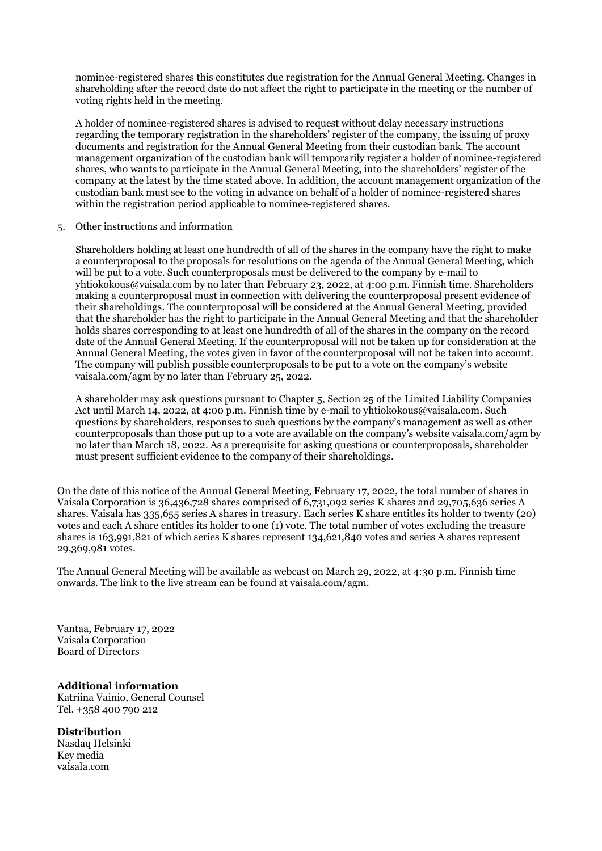nominee-registered shares this constitutes due registration for the Annual General Meeting. Changes in shareholding after the record date do not affect the right to participate in the meeting or the number of voting rights held in the meeting.

A holder of nominee-registered shares is advised to request without delay necessary instructions regarding the temporary registration in the shareholders' register of the company, the issuing of proxy documents and registration for the Annual General Meeting from their custodian bank. The account management organization of the custodian bank will temporarily register a holder of nominee-registered shares, who wants to participate in the Annual General Meeting, into the shareholders' register of the company at the latest by the time stated above. In addition, the account management organization of the custodian bank must see to the voting in advance on behalf of a holder of nominee-registered shares within the registration period applicable to nominee-registered shares.

5. Other instructions and information

Shareholders holding at least one hundredth of all of the shares in the company have the right to make a counterproposal to the proposals for resolutions on the agenda of the Annual General Meeting, which will be put to a vote. Such counterproposals must be delivered to the company by e-mail to yhtiokokous@vaisala.com by no later than February 23, 2022, at 4:00 p.m. Finnish time. Shareholders making a counterproposal must in connection with delivering the counterproposal present evidence of their shareholdings. The counterproposal will be considered at the Annual General Meeting, provided that the shareholder has the right to participate in the Annual General Meeting and that the shareholder holds shares corresponding to at least one hundredth of all of the shares in the company on the record date of the Annual General Meeting. If the counterproposal will not be taken up for consideration at the Annual General Meeting, the votes given in favor of the counterproposal will not be taken into account. The company will publish possible counterproposals to be put to a vote on the company's website vaisala.com/agm by no later than February 25, 2022.

A shareholder may ask questions pursuant to Chapter 5, Section 25 of the Limited Liability Companies Act until March 14, 2022, at 4:00 p.m. Finnish time by e-mail to yhtiokokous@vaisala.com. Such questions by shareholders, responses to such questions by the company's management as well as other counterproposals than those put up to a vote are available on the company's website vaisala.com/agm by no later than March 18, 2022. As a prerequisite for asking questions or counterproposals, shareholder must present sufficient evidence to the company of their shareholdings.

On the date of this notice of the Annual General Meeting, February 17, 2022, the total number of shares in Vaisala Corporation is 36,436,728 shares comprised of 6,731,092 series K shares and 29,705,636 series A shares. Vaisala has 335,655 series A shares in treasury. Each series K share entitles its holder to twenty (20) votes and each A share entitles its holder to one (1) vote. The total number of votes excluding the treasure shares is 163,991,821 of which series K shares represent 134,621,840 votes and series A shares represent 29,369,981 votes.

The Annual General Meeting will be available as webcast on March 29, 2022, at 4:30 p.m. Finnish time onwards. The link to the live stream can be found at vaisala.com/agm.

Vantaa, February 17, 2022 Vaisala Corporation Board of Directors

**Additional information** Katriina Vainio, General Counsel Tel. +358 400 790 212

**Distribution**

Nasdaq Helsinki Key media vaisala.com